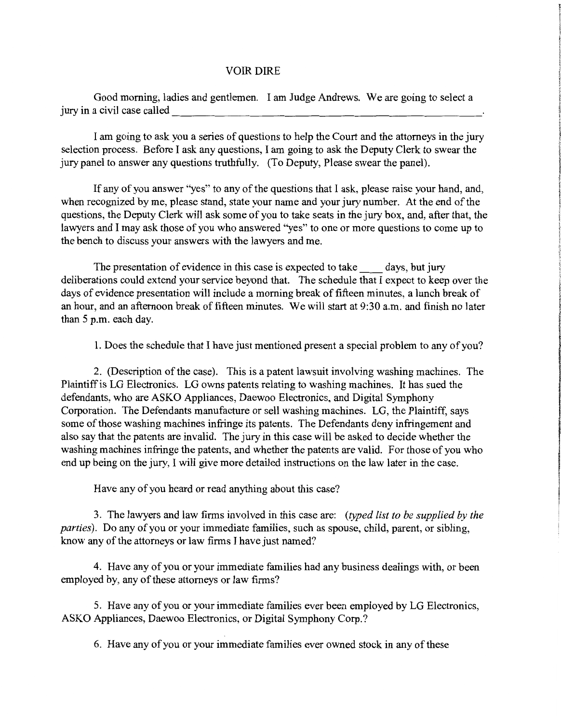## VOIR DIRE

Good morning, ladies and gentlemen. I am Judge Andrews. We are going to select a jury in a civil case called--------------------------

I am going to ask you a series of questions to help the Court and the attorneys in the jury selection process. Before I ask any questions, I am going to ask the Deputy Clerk to swear the jury panel to answer any questions truthfully. (To Deputy, Please swear the panel).

If any of you answer "yes" to any of the questions that I ask, please raise your hand, and, when recognized by me, please stand, state your name and your jury number. At the end of the questions, the Deputy Clerk will ask some of you to take seats in the jury box, and, after that, the lawyers and I may ask those of you who answered "yes" to one or more questions to come up to the bench to discuss your answers with the lawyers and me.

The presentation of evidence in this case is expected to take days, but jury deliberations could extend your service beyond that. The schedule that I expect to keep over the days of evidence presentation will include a morning break of fifteen minutes, a lunch break of an hour, and an afternoon break of fifteen minutes. We will start at 9:30 a.m. and finish no later than 5 p.m. each day.

1. Does the schedule that I have just mentioned present a special problem to any of you?

2. (Description of the case). This is a patent lawsuit involving washing machines. The Plaintiff is LG Electronics. LG owns patents relating to washing machines. It has sued the defendants, who are ASKO Appliances, Daewoo Electronics, and Digital Symphony Corporation. The Defendants manufacture or sell washing machines. LG, the Plaintiff, says some of those washing machines infringe its patents. The Defendants deny infringement and also say that the patents are invalid. The jury in this case will be asked to decide whether the washing machines infringe the patents, and whether the patents are valid. For those of you who end up being on the jury, I will give more detailed instructions on the law later in the case.

Have any of you heard or read anything about this case?

3. The lawyers and law firms involved in this case are: *(typed list to be supplied by the parties).* Do any of you or your immediate families, such as spouse, child, parent, or sibling, know any of the attorneys or law firms I have just named?

4. Have any of you or your immediate families had any business dealings with, or been employed by, any of these attorneys or law firms?

5. Have any of you or your immediate families ever been employed by LG Electronics, ASKO Appliances, Daewoo Electronics, or Digital Symphony Corp.?

6. Have any of you or your immediate families ever owned stock in any of these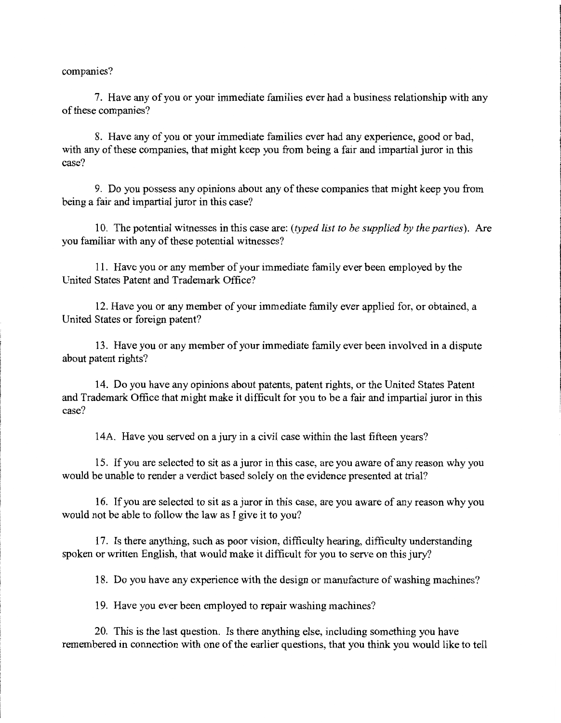companies?

7. Have any of you or your immediate families ever had a business relationship with any of these companies?

8. Have any of you or your immediate families ever had any experience, good or bad, with any of these companies, that might keep you from being a fair and impartial juror in this case?

9. Do you possess any opinions about any of these companies that might keep you from being a fair and impartial juror in this case?

10. The potential witnesses in this case are: *(typed list to be supplied by the parties).* Are you familiar with any of these potential witnesses?

for the contract of the contract of the contract of the contract of the contract of the contract of the contract of the contract of the contract of the contract of the contract of the contract of the contract of the contra

11. Have you or any member of your immediate family ever been employed by the United States Patent and Trademark Office?

12. Have you or any member of your immediate family ever applied for, or obtained, a United States or foreign patent?

13. Have you or any member of your immediate family ever been involved in a dispute about patent rights?

14. Do you have any opinions about patents, patent rights, or the United States Patent and Trademark Office that might make it difficult for you to be a fair and impartial juror in this case?

14A. Have you served on a jury in a civil case within the last fifteen years?

15. If you are selected to sit as a juror in this case, are you aware of any reason why you would be unable to render a verdict based solely on the evidence presented at trial?

16. If you are selected to sit as a juror in this case, are you aware of any reason why you would not be able to follow the law as I give it to you?

17. Is there anything, such as poor vision, difficulty hearing, difficulty understanding spoken or written English, that would make it difficult for you to serve on this jury?

18. Do you have any experience with the design or manufacture of washing machines?

19. Have you ever been employed to repair washing machines?

20. This is the last question. Is there anything else, including something you have remembered in connection with one of the earlier questions, that you think you would like to tell